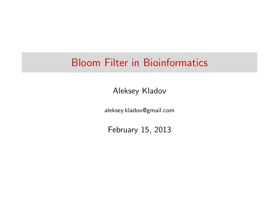## Bloom Filter in Bioinformatics

Aleksey Kladov

aleksey.kladov@gmail.com

February 15, 2013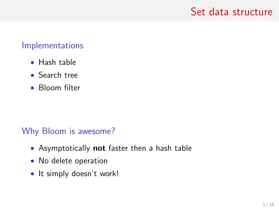#### Set data structure

#### Implementations

- Hash table
- Search tree
- Bloom filter

#### Why Bloom is awesome?

- Asymptotically not faster then a hash table
- No delete operation
- It simply doesn't work!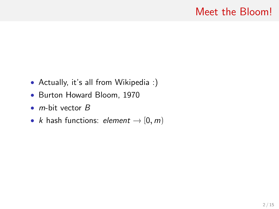### Meet the Bloom!

- Actually, it's all from Wikipedia :)
- Burton Howard Bloom, 1970
- $m$ -bit vector  $B$
- *k* hash functions: *element*  $\rightarrow$  [0, *m*]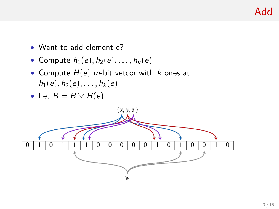- Want to add element e?
- Compute  $h_1(e), h_2(e), \ldots, h_k(e)$
- Compute  $H(e)$  m-bit vetcor with k ones at  $h_1(e), h_2(e), \ldots, h_k(e)$
- Let  $B = B \vee H(e)$

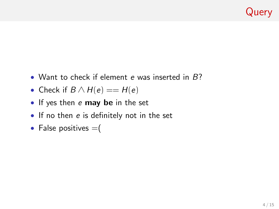## Query

- Want to check if element e was inserted in  $B$ ?
- Check if  $B \wedge H(e) == H(e)$
- If yes then e may be in the set
- If no then e is definitely not in the set
- False positives  $=$  (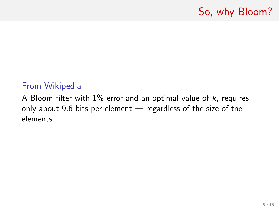## So, why Bloom?

#### From Wikipedia

A Bloom filter with  $1\%$  error and an optimal value of  $k$ , requires only about 9.6 bits per element — regardless of the size of the elements.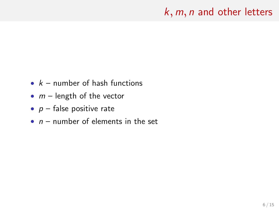## $k$ ,  $m$ ,  $n$  and other letters

- $k -$  number of hash functions
- $m$  length of the vector
- $p$  false positive rate
- $n -$  number of elements in the set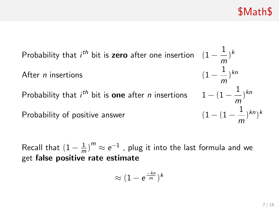\$Math\$

Probability that  $i^{th}$  bit is zero after one insertion  $(1-\frac{1}{n})$ m  $)^k$ After  $n$  insertions 1 m  $)^{kn}$ Probability that  $i^{th}$  bit is  $\bm{{\mathsf{one}}}$  after  $n$  insertions  $1 - (1 - \frac{1}{n})$ m ) kn Probability of positive answer 1 m  $\left( \binom{k}{k} \right)$ 

Recall that  $(1 - \frac{1}{n})$  $\left(\frac{1}{m}\right)^m \approx e^{-1}$  , plug it into the last formula and we get false positive rate estimate

$$
\approx (1-\text{e}^{\frac{-kn}{m}})^k
$$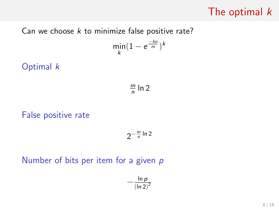## The optimal  $k$

Can we choose  $k$  to minimize false positive rate?

$$
\min_k(1-e^{\frac{-kn}{m}})^k
$$

Optimal k

m  $\frac{m}{n}$  ln 2

False positive rate

$$
2^{-\frac{m}{n}\ln 2}
$$

Number of bits per item for a given  $p$ 

$$
-\frac{\ln p}{(\ln 2)^2}
$$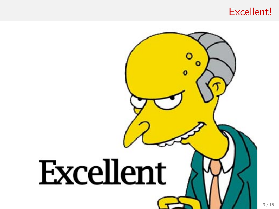#### Excellent!

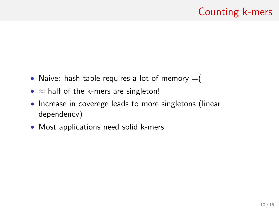## Counting k-mers

- Naive: hash table requires a lot of memory  $=$  (
- $\approx$  half of the k-mers are singleton!
- Increase in coverege leads to more singletons (linear dependency)
- Most applications need solid k-mers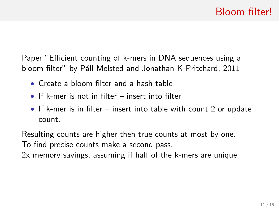Paper "Efficient counting of k-mers in DNA sequences using a bloom filter" by Páll Melsted and Jonathan K Pritchard, 2011

- Create a bloom filter and a hash table
- If k-mer is not in filter insert into filter
- If k-mer is in filter insert into table with count 2 or update count.

Resulting counts are higher then true counts at most by one. To find precise counts make a second pass.

2x memory savings, assuming if half of the k-mers are unique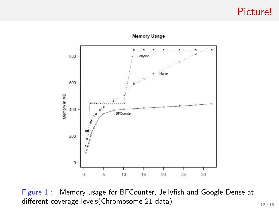#### Picture!



#### **Memory Usage**

Figure 1 : Memory usage for BFCounter, Jellyfish and Google Dense at different coverage levels(Chromosome 21 data) 12 / 15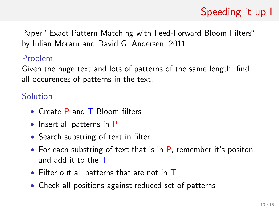# Speeding it up I

Paper "Exact Pattern Matching with Feed-Forward Bloom Filters" by Iulian Moraru and David G. Andersen, 2011

#### Problem

Given the huge text and lots of patterns of the same length, find all occurences of patterns in the text.

#### Solution

- Create P and T Bloom filters
- Insert all patterns in P
- Search substring of text in filter
- For each substring of text that is in  $P$ , remember it's positon and add it to the T
- Filter out all patterns that are not in T
- Check all positions against reduced set of patterns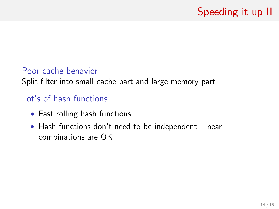# Speeding it up II

#### Poor cache behavior

Split filter into small cache part and large memory part

#### Lot's of hash functions

- Fast rolling hash functions
- Hash functions don't need to be independent: linear combinations are OK